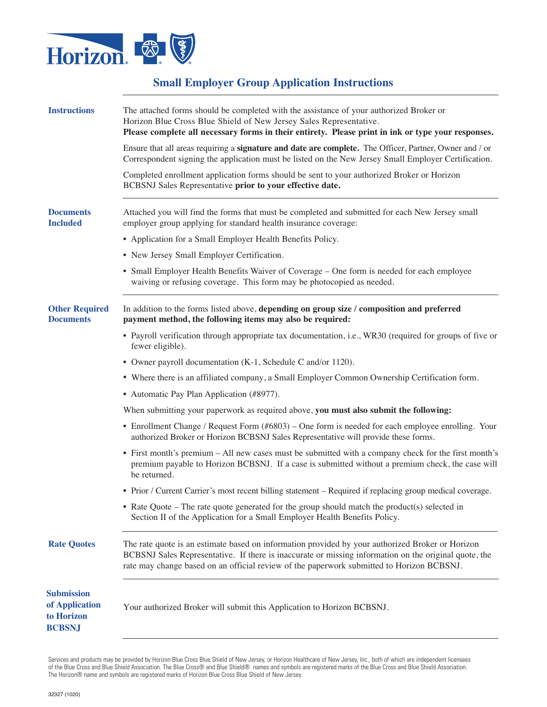

# **Small Employer Group Application Instructions**

| <b>Instructions</b>                                                | The attached forms should be completed with the assistance of your authorized Broker or<br>Horizon Blue Cross Blue Shield of New Jersey Sales Representative.<br>Please complete all necessary forms in their entirety. Please print in ink or type your responses.                                    |
|--------------------------------------------------------------------|--------------------------------------------------------------------------------------------------------------------------------------------------------------------------------------------------------------------------------------------------------------------------------------------------------|
|                                                                    | Ensure that all areas requiring a <b>signature and date are complete.</b> The Officer, Partner, Owner and / or<br>Correspondent signing the application must be listed on the New Jersey Small Employer Certification.                                                                                 |
|                                                                    | Completed enrollment application forms should be sent to your authorized Broker or Horizon<br>BCBSNJ Sales Representative prior to your effective date.                                                                                                                                                |
| <b>Documents</b><br><b>Included</b>                                | Attached you will find the forms that must be completed and submitted for each New Jersey small<br>employer group applying for standard health insurance coverage:                                                                                                                                     |
|                                                                    | • Application for a Small Employer Health Benefits Policy.                                                                                                                                                                                                                                             |
|                                                                    | • New Jersey Small Employer Certification.                                                                                                                                                                                                                                                             |
|                                                                    | • Small Employer Health Benefits Waiver of Coverage – One form is needed for each employee<br>waiving or refusing coverage. This form may be photocopied as needed.                                                                                                                                    |
| <b>Other Required</b><br><b>Documents</b>                          | In addition to the forms listed above, depending on group size / composition and preferred<br>payment method, the following items may also be required:                                                                                                                                                |
|                                                                    | • Payroll verification through appropriate tax documentation, i.e., WR30 (required for groups of five or<br>fewer eligible).                                                                                                                                                                           |
|                                                                    | • Owner payroll documentation (K-1, Schedule C and/or 1120).                                                                                                                                                                                                                                           |
|                                                                    | • Where there is an affiliated company, a Small Employer Common Ownership Certification form.                                                                                                                                                                                                          |
|                                                                    | • Automatic Pay Plan Application (#8977).                                                                                                                                                                                                                                                              |
|                                                                    | When submitting your paperwork as required above, you must also submit the following:                                                                                                                                                                                                                  |
|                                                                    | • Enrollment Change / Request Form (#6803) – One form is needed for each employee enrolling. Your<br>authorized Broker or Horizon BCBSNJ Sales Representative will provide these forms.                                                                                                                |
|                                                                    | • First month's premium – All new cases must be submitted with a company check for the first month's<br>premium payable to Horizon BCBSNJ. If a case is submitted without a premium check, the case will<br>be returned.                                                                               |
|                                                                    | • Prior / Current Carrier's most recent billing statement – Required if replacing group medical coverage.                                                                                                                                                                                              |
|                                                                    | • Rate Quote – The rate quote generated for the group should match the product(s) selected in<br>Section II of the Application for a Small Employer Health Benefits Policy.                                                                                                                            |
| <b>Rate Quotes</b>                                                 | The rate quote is an estimate based on information provided by your authorized Broker or Horizon<br>BCBSNJ Sales Representative. If there is inaccurate or missing information on the original quote, the<br>rate may change based on an official review of the paperwork submitted to Horizon BCBSNJ. |
| <b>Submission</b><br>of Application<br>to Horizon<br><b>BCBSNJ</b> | Your authorized Broker will submit this Application to Horizon BCBSNJ.                                                                                                                                                                                                                                 |

Services and products may be provided by Horizon Blue Cross Blue Shield of New Jersey, or Horizon Healthcare of New Jersey, Inc., both of which are independent licensees of the Blue Cross and Blue Shield Association. The Blue Cross® and Blue Shield® names and symbols are registered marks of the Blue Cross and Blue Shield Association. The Horizon® name and symbols are registered marks of Horizon Blue Cross Blue Shield of New Jersey.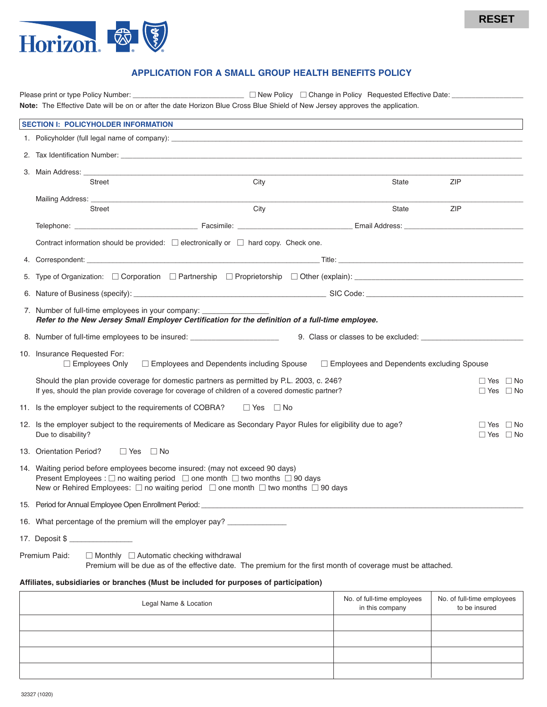

# **APPLICATION FOR A SMALL GROUP HEALTH BENEFITS POLICY**

|    |                                                                                                                                                                                                                                                                                                    |                                                                                                             |                                               | <b>RESET</b>                                 |
|----|----------------------------------------------------------------------------------------------------------------------------------------------------------------------------------------------------------------------------------------------------------------------------------------------------|-------------------------------------------------------------------------------------------------------------|-----------------------------------------------|----------------------------------------------|
|    | Horizon.                                                                                                                                                                                                                                                                                           |                                                                                                             |                                               |                                              |
|    |                                                                                                                                                                                                                                                                                                    | <b>APPLICATION FOR A SMALL GROUP HEALTH BENEFITS POLICY</b>                                                 |                                               |                                              |
|    |                                                                                                                                                                                                                                                                                                    |                                                                                                             |                                               |                                              |
|    | Note: The Effective Date will be on or after the date Horizon Blue Cross Blue Shield of New Jersey approves the application.                                                                                                                                                                       |                                                                                                             |                                               |                                              |
|    | <b>SECTION I: POLICYHOLDER INFORMATION</b>                                                                                                                                                                                                                                                         | ,我们也不能会有一个人的事情。""我们的人们是不是我们的人,我们也不能会有一个人的人,我们也不能会有一个人的人,我们也不能会有一个人的人,我们也不能会有一个人的人                           |                                               |                                              |
|    |                                                                                                                                                                                                                                                                                                    |                                                                                                             |                                               |                                              |
|    |                                                                                                                                                                                                                                                                                                    |                                                                                                             |                                               |                                              |
|    |                                                                                                                                                                                                                                                                                                    |                                                                                                             |                                               |                                              |
|    | Street                                                                                                                                                                                                                                                                                             | City                                                                                                        | State                                         | ZIP                                          |
|    | Street                                                                                                                                                                                                                                                                                             | City                                                                                                        | State                                         | ZIP                                          |
|    |                                                                                                                                                                                                                                                                                                    |                                                                                                             |                                               |                                              |
|    | Contract information should be provided: $\Box$ electronically or $\Box$ hard copy. Check one.                                                                                                                                                                                                     |                                                                                                             |                                               |                                              |
|    |                                                                                                                                                                                                                                                                                                    |                                                                                                             |                                               |                                              |
| 5. |                                                                                                                                                                                                                                                                                                    |                                                                                                             |                                               |                                              |
|    | 6. Nature of Business (specify): entertainment and the set of SIC Code: entertainment and SIC Code: entertainment and the set of the set of the set of the set of the set of the set of the set of the set of the set of the s                                                                     |                                                                                                             |                                               |                                              |
|    | 7. Number of full-time employees in your company:                                                                                                                                                                                                                                                  |                                                                                                             |                                               |                                              |
|    | Refer to the New Jersey Small Employer Certification for the definition of a full-time employee.                                                                                                                                                                                                   |                                                                                                             |                                               |                                              |
|    | 8. Number of full-time employees to be insured: __________________________                                                                                                                                                                                                                         |                                                                                                             |                                               |                                              |
|    | 10. Insurance Requested For:<br>$\Box$ Employees Only                                                                                                                                                                                                                                              | $\Box$ Employees and Dependents including Spouse $\Box$ Employees and Dependents excluding Spouse           |                                               |                                              |
|    | Should the plan provide coverage for domestic partners as permitted by P.L. 2003, c. 246?<br>If yes, should the plan provide coverage for coverage of children of a covered domestic partner?                                                                                                      |                                                                                                             |                                               | $\Box$ Yes $\Box$ No<br>$\Box$ Yes $\Box$ No |
|    | 11. Is the employer subject to the requirements of COBRA?                                                                                                                                                                                                                                          | $\Box$ Yes $\Box$ No                                                                                        |                                               |                                              |
|    | 12. Is the employer subject to the requirements of Medicare as Secondary Payor Rules for eligibility due to age?<br>Due to disability?                                                                                                                                                             |                                                                                                             |                                               | $\Box$ Yes $\Box$ No<br>$\Box$ Yes $\Box$ No |
|    | 13. Orientation Period?<br>$\Box$ Yes $\Box$ No                                                                                                                                                                                                                                                    |                                                                                                             |                                               |                                              |
|    | 14. Waiting period before employees become insured: (may not exceed 90 days)<br>Present Employees : $\square$ no waiting period $\square$ one month $\square$ two months $\square$ 90 days<br>New or Rehired Employees: $\Box$ no waiting period $\Box$ one month $\Box$ two months $\Box$ 90 days |                                                                                                             |                                               |                                              |
|    | 15. Period for Annual Employee Open Enrollment Period:                                                                                                                                                                                                                                             |                                                                                                             |                                               |                                              |
|    | 16. What percentage of the premium will the employer pay? _______________                                                                                                                                                                                                                          |                                                                                                             |                                               |                                              |
|    | 17. Deposit \$                                                                                                                                                                                                                                                                                     |                                                                                                             |                                               |                                              |
|    | Premium Paid:<br>$\Box$ Monthly $\Box$ Automatic checking withdrawal                                                                                                                                                                                                                               | Premium will be due as of the effective date. The premium for the first month of coverage must be attached. |                                               |                                              |
|    | Affiliates, subsidiaries or branches (Must be included for purposes of participation)                                                                                                                                                                                                              |                                                                                                             |                                               |                                              |
|    | Legal Name & Location                                                                                                                                                                                                                                                                              |                                                                                                             | No. of full-time employees<br>in this company | No. of full-time employees<br>to be insured  |
|    |                                                                                                                                                                                                                                                                                                    |                                                                                                             |                                               |                                              |
|    |                                                                                                                                                                                                                                                                                                    |                                                                                                             |                                               |                                              |
|    |                                                                                                                                                                                                                                                                                                    |                                                                                                             |                                               |                                              |
|    |                                                                                                                                                                                                                                                                                                    |                                                                                                             |                                               |                                              |
|    | 32327 (1020)                                                                                                                                                                                                                                                                                       |                                                                                                             |                                               |                                              |

| Legal Name & Location | No. of full-time employees<br>in this company | No. of full-time employees<br>to be insured |
|-----------------------|-----------------------------------------------|---------------------------------------------|
|                       |                                               |                                             |
|                       |                                               |                                             |
|                       |                                               |                                             |
|                       |                                               |                                             |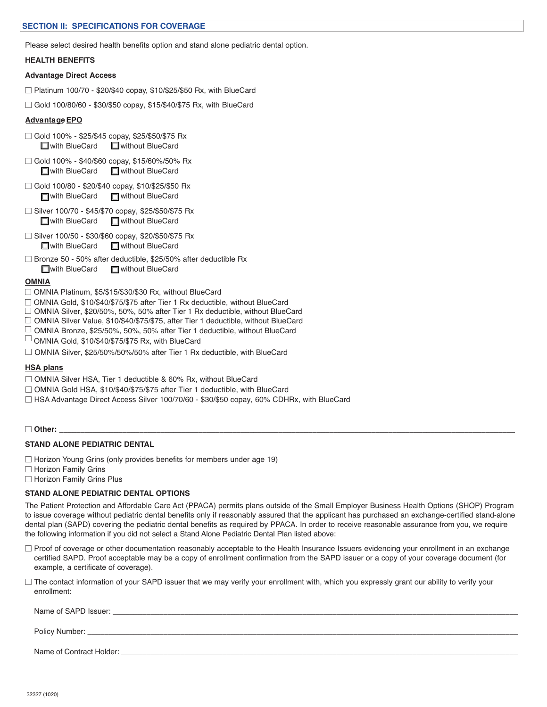### **SECTION II: SPECIFICATIONS FOR COVERAGE**

Please select desired health benefits option and stand alone pediatric dental option.

#### **HEALTH BENEFITS**

#### **Advantage Direct Access**

- $\Box$  Platinum 100/70 \$20/\$40 copay, \$10/\$25/\$50 Rx, with BlueCard
- $\Box$  Gold 100/80/60 \$30/\$50 copay, \$15/\$40/\$75 Rx, with BlueCard

#### **AdvantageEPO**

- $\Box$  Gold 100% \$25/\$45 copay, \$25/\$50/\$75 Rx □ with BlueCard □ without BlueCard
- □ Gold 100% \$40/\$60 copay, \$15/60%/50% Rx ■ with BlueCard ■ without BlueCard
- $\Box$  Gold 100/80 \$20/\$40 copay, \$10/\$25/\$50 Rx with BlueCard **I** without BlueCard
- □ Silver 100/70 \$45/\$70 copay, \$25/\$50/\$75 Rx ■ with BlueCard ■ without BlueCard
- □ Silver 100/50 \$30/\$60 copay, \$20/\$50/\$75 Rx ■ with BlueCard ■ without BlueCard
- $\Box$  Bronze 50 50% after deductible, \$25/50% after deductible Rx **Now With BlueCard III** without BlueCard

#### **OMNIA**

- □ OMNIA Platinum, \$5/\$15/\$30/\$30 Rx, without BlueCard
- □ OMNIA Gold, \$10/\$40/\$75/\$75 after Tier 1 Rx deductible, without BlueCard
- □ OMNIA Silver, \$20/50%, 50%, 50% after Tier 1 Rx deductible, without BlueCard
- □ OMNIA Silver Value, \$10/\$40/\$75/\$75, after Tier 1 deductible, without BlueCard
- $□$  OMNIA Bronze, \$25/50%, 50%, 50% after Tier 1 deductible, without BlueCard<br>□ OMNIA Gold\_\$10/\$40/\$75/\$75 Bx\_with BlueCard
- $\Box$  OMNIA Gold, \$10/\$40/\$75/\$75 Rx, with BlueCard
- ! OMNIA Silver, \$25/50%/50%/50% after Tier 1 Rx deductible, with BlueCard

#### **HSA plans**

- □ OMNIA Silver HSA, Tier 1 deductible & 60% Rx, without BlueCard
- □ OMNIA Gold HSA, \$10/\$40/\$75/\$75 after Tier 1 deductible, with BlueCard
- $\Box$  HSA Advantage Direct Access Silver 100/70/60 \$30/\$50 copay, 60% CDHRx, with BlueCard

### ! **Other:** \_\_\_\_\_\_\_\_\_\_\_\_\_\_\_\_\_\_\_\_\_\_\_\_\_\_\_\_\_\_\_\_\_\_\_\_\_\_\_\_\_\_\_\_\_\_\_\_\_\_\_\_\_\_\_\_\_\_\_\_\_\_\_\_\_\_\_\_\_\_\_\_\_\_\_\_\_\_\_\_\_\_\_\_\_\_\_\_\_\_\_\_\_\_\_\_\_\_\_\_\_\_\_\_\_\_\_\_

### **STAND ALONE PEDIATRIC DENTAL**

- $\Box$  Horizon Young Grins (only provides benefits for members under age 19)
- $\Box$  Horizon Family Grins
- $\Box$  Horizon Family Grins Plus

### **STAND ALONE PEDIATRIC DENTAL OPTIONS**

The Patient Protection and Affordable Care Act (PPACA) permits plans outside of the Small Employer Business Health Options (SHOP) Program to issue coverage without pediatric dental benefits only if reasonably assured that the applicant has purchased an exchange-certified stand-alone dental plan (SAPD) covering the pediatric dental benefits as required by PPACA. In order to receive reasonable assurance from you, we require the following information if you did not select a Stand Alone Pediatric Dental Plan listed above:

- $\Box$  Proof of coverage or other documentation reasonably acceptable to the Health Insurance Issuers evidencing your enrollment in an exchange certified SAPD. Proof acceptable may be a copy of enrollment confirmation from the SAPD issuer or a copy of your coverage document (for example, a certificate of coverage).
- $\Box$  The contact information of your SAPD issuer that we may verify your enrollment with, which you expressly grant our ability to verify your enrollment:

| Name of SAPD Issuer:     |  |
|--------------------------|--|
| Policy Number: _         |  |
| Name of Contract Holder: |  |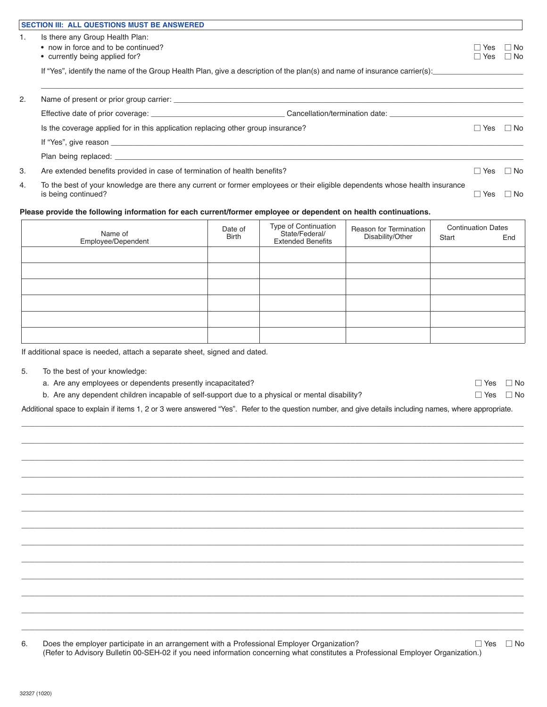|    | <b>SECTION III: ALL QUESTIONS MUST BE ANSWERED</b>                                                                                                 |                     |              |
|----|----------------------------------------------------------------------------------------------------------------------------------------------------|---------------------|--------------|
| 1. | Is there any Group Health Plan:<br>• now in force and to be continued?<br>• currently being applied for?                                           | Yes<br>Yes          | ⊟ No<br>⊟ No |
|    | If "Yes", identify the name of the Group Health Plan, give a description of the plan(s) and name of insurance carrier(s):                          |                     |              |
| 2. |                                                                                                                                                    |                     |              |
|    |                                                                                                                                                    |                     |              |
|    | Is the coverage applied for in this application replacing other group insurance?                                                                   | Yes<br>$\mathbf{L}$ | l I No       |
|    |                                                                                                                                                    |                     |              |
|    |                                                                                                                                                    |                     |              |
| 3. | Are extended benefits provided in case of termination of health benefits?                                                                          | <b>Yes</b>          | $\Box$ No    |
| 4. | To the best of your knowledge are there any current or former employees or their eligible dependents whose health insurance<br>is being continued? | Yes                 | ⊟ No         |

# **Please provide the following information for each current/former employee or dependent on health continuations.**

| Name of<br>Employee/Dependent | Date of<br>Birth | Type of Continuation<br>State/Federal/<br><b>Extended Benefits</b> | Reason for Termination<br>Disability/Other | <b>Continuation Dates</b><br>Start | End |
|-------------------------------|------------------|--------------------------------------------------------------------|--------------------------------------------|------------------------------------|-----|
|                               |                  |                                                                    |                                            |                                    |     |
|                               |                  |                                                                    |                                            |                                    |     |
|                               |                  |                                                                    |                                            |                                    |     |
|                               |                  |                                                                    |                                            |                                    |     |
|                               |                  |                                                                    |                                            |                                    |     |
|                               |                  |                                                                    |                                            |                                    |     |

If additional space is needed, attach a separate sheet, signed and dated.

- 5. To the best of your knowledge:
	- a. Are any employees or dependents presently incapacitated?  $\Box$  Yes  $\Box$  Yes  $\Box$  No

| b. Are any dependent children incapable of self-support due to a physical or mental disability? |  | $\Box$ Yes $\Box$ No |
|-------------------------------------------------------------------------------------------------|--|----------------------|
|-------------------------------------------------------------------------------------------------|--|----------------------|

Additional space to explain if items 1, 2 or 3 were answered "Yes". Refer to the question number, and give details including names, where appropriate.

\_\_\_\_\_\_\_\_\_\_\_\_\_\_\_\_\_\_\_\_\_\_\_\_\_\_\_\_\_\_\_\_\_\_\_\_\_\_\_\_\_\_\_\_\_\_\_\_\_\_\_\_\_\_\_\_\_\_\_\_\_\_\_\_\_\_\_\_\_\_\_\_\_\_\_\_\_\_\_\_\_\_\_\_\_\_\_\_\_\_\_\_\_\_\_\_\_\_\_\_\_\_\_\_\_\_\_\_\_\_\_\_\_\_\_\_\_\_\_ \_\_\_\_\_\_\_\_\_\_\_\_\_\_\_\_\_\_\_\_\_\_\_\_\_\_\_\_\_\_\_\_\_\_\_\_\_\_\_\_\_\_\_\_\_\_\_\_\_\_\_\_\_\_\_\_\_\_\_\_\_\_\_\_\_\_\_\_\_\_\_\_\_\_\_\_\_\_\_\_\_\_\_\_\_\_\_\_\_\_\_\_\_\_\_\_\_\_\_\_\_\_\_\_\_\_\_\_\_\_\_\_\_\_\_\_\_\_\_ \_\_\_\_\_\_\_\_\_\_\_\_\_\_\_\_\_\_\_\_\_\_\_\_\_\_\_\_\_\_\_\_\_\_\_\_\_\_\_\_\_\_\_\_\_\_\_\_\_\_\_\_\_\_\_\_\_\_\_\_\_\_\_\_\_\_\_\_\_\_\_\_\_\_\_\_\_\_\_\_\_\_\_\_\_\_\_\_\_\_\_\_\_\_\_\_\_\_\_\_\_\_\_\_\_\_\_\_\_\_\_\_\_\_\_\_\_\_\_ \_\_\_\_\_\_\_\_\_\_\_\_\_\_\_\_\_\_\_\_\_\_\_\_\_\_\_\_\_\_\_\_\_\_\_\_\_\_\_\_\_\_\_\_\_\_\_\_\_\_\_\_\_\_\_\_\_\_\_\_\_\_\_\_\_\_\_\_\_\_\_\_\_\_\_\_\_\_\_\_\_\_\_\_\_\_\_\_\_\_\_\_\_\_\_\_\_\_\_\_\_\_\_\_\_\_\_\_\_\_\_\_\_\_\_\_\_\_\_ \_\_\_\_\_\_\_\_\_\_\_\_\_\_\_\_\_\_\_\_\_\_\_\_\_\_\_\_\_\_\_\_\_\_\_\_\_\_\_\_\_\_\_\_\_\_\_\_\_\_\_\_\_\_\_\_\_\_\_\_\_\_\_\_\_\_\_\_\_\_\_\_\_\_\_\_\_\_\_\_\_\_\_\_\_\_\_\_\_\_\_\_\_\_\_\_\_\_\_\_\_\_\_\_\_\_\_\_\_\_\_\_\_\_\_\_\_\_\_ \_\_\_\_\_\_\_\_\_\_\_\_\_\_\_\_\_\_\_\_\_\_\_\_\_\_\_\_\_\_\_\_\_\_\_\_\_\_\_\_\_\_\_\_\_\_\_\_\_\_\_\_\_\_\_\_\_\_\_\_\_\_\_\_\_\_\_\_\_\_\_\_\_\_\_\_\_\_\_\_\_\_\_\_\_\_\_\_\_\_\_\_\_\_\_\_\_\_\_\_\_\_\_\_\_\_\_\_\_\_\_\_\_\_\_\_\_\_\_ \_\_\_\_\_\_\_\_\_\_\_\_\_\_\_\_\_\_\_\_\_\_\_\_\_\_\_\_\_\_\_\_\_\_\_\_\_\_\_\_\_\_\_\_\_\_\_\_\_\_\_\_\_\_\_\_\_\_\_\_\_\_\_\_\_\_\_\_\_\_\_\_\_\_\_\_\_\_\_\_\_\_\_\_\_\_\_\_\_\_\_\_\_\_\_\_\_\_\_\_\_\_\_\_\_\_\_\_\_\_\_\_\_\_\_\_\_\_\_ \_\_\_\_\_\_\_\_\_\_\_\_\_\_\_\_\_\_\_\_\_\_\_\_\_\_\_\_\_\_\_\_\_\_\_\_\_\_\_\_\_\_\_\_\_\_\_\_\_\_\_\_\_\_\_\_\_\_\_\_\_\_\_\_\_\_\_\_\_\_\_\_\_\_\_\_\_\_\_\_\_\_\_\_\_\_\_\_\_\_\_\_\_\_\_\_\_\_\_\_\_\_\_\_\_\_\_\_\_\_\_\_\_\_\_\_\_\_\_ \_\_\_\_\_\_\_\_\_\_\_\_\_\_\_\_\_\_\_\_\_\_\_\_\_\_\_\_\_\_\_\_\_\_\_\_\_\_\_\_\_\_\_\_\_\_\_\_\_\_\_\_\_\_\_\_\_\_\_\_\_\_\_\_\_\_\_\_\_\_\_\_\_\_\_\_\_\_\_\_\_\_\_\_\_\_\_\_\_\_\_\_\_\_\_\_\_\_\_\_\_\_\_\_\_\_\_\_\_\_\_\_\_\_\_\_\_\_\_ \_\_\_\_\_\_\_\_\_\_\_\_\_\_\_\_\_\_\_\_\_\_\_\_\_\_\_\_\_\_\_\_\_\_\_\_\_\_\_\_\_\_\_\_\_\_\_\_\_\_\_\_\_\_\_\_\_\_\_\_\_\_\_\_\_\_\_\_\_\_\_\_\_\_\_\_\_\_\_\_\_\_\_\_\_\_\_\_\_\_\_\_\_\_\_\_\_\_\_\_\_\_\_\_\_\_\_\_\_\_\_\_\_\_\_\_\_\_\_ \_\_\_\_\_\_\_\_\_\_\_\_\_\_\_\_\_\_\_\_\_\_\_\_\_\_\_\_\_\_\_\_\_\_\_\_\_\_\_\_\_\_\_\_\_\_\_\_\_\_\_\_\_\_\_\_\_\_\_\_\_\_\_\_\_\_\_\_\_\_\_\_\_\_\_\_\_\_\_\_\_\_\_\_\_\_\_\_\_\_\_\_\_\_\_\_\_\_\_\_\_\_\_\_\_\_\_\_\_\_\_\_\_\_\_\_\_\_\_ \_\_\_\_\_\_\_\_\_\_\_\_\_\_\_\_\_\_\_\_\_\_\_\_\_\_\_\_\_\_\_\_\_\_\_\_\_\_\_\_\_\_\_\_\_\_\_\_\_\_\_\_\_\_\_\_\_\_\_\_\_\_\_\_\_\_\_\_\_\_\_\_\_\_\_\_\_\_\_\_\_\_\_\_\_\_\_\_\_\_\_\_\_\_\_\_\_\_\_\_\_\_\_\_\_\_\_\_\_\_\_\_\_\_\_\_\_\_\_ \_\_\_\_\_\_\_\_\_\_\_\_\_\_\_\_\_\_\_\_\_\_\_\_\_\_\_\_\_\_\_\_\_\_\_\_\_\_\_\_\_\_\_\_\_\_\_\_\_\_\_\_\_\_\_\_\_\_\_\_\_\_\_\_\_\_\_\_\_\_\_\_\_\_\_\_\_\_\_\_\_\_\_\_\_\_\_\_\_\_\_\_\_\_\_\_\_\_\_\_\_\_\_\_\_\_\_\_\_\_\_\_\_\_\_\_\_\_\_

| Does the employer participate in an arrangement with a Professional Employer Organization?                                       | $\Box$ Yes $\Box$ No |  |
|----------------------------------------------------------------------------------------------------------------------------------|----------------------|--|
| (Refer to Advisory Bulletin 00-SEH-02 if you need information concerning what constitutes a Professional Employer Organization.) |                      |  |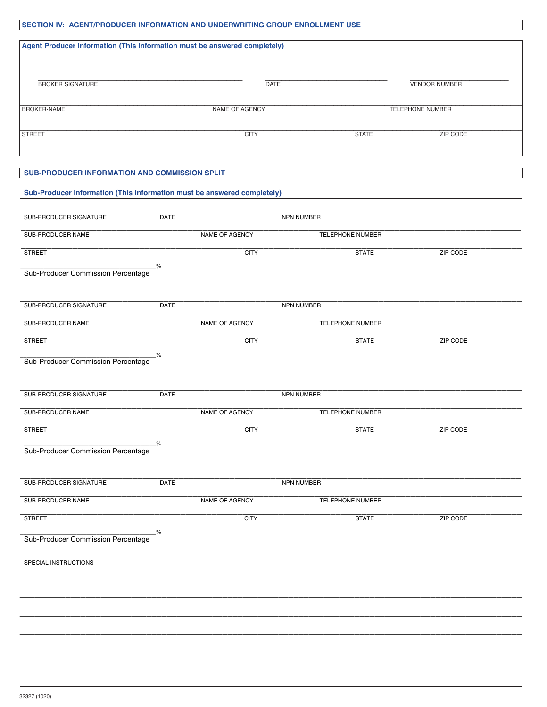# SECTION IV: AGENT/PRODUCER INFORMATION AND UNDERWRITING GROUP ENROLLMENT USE

| Agent Producer Information (This information must be answered completely) |                       |                         |                      |  |
|---------------------------------------------------------------------------|-----------------------|-------------------------|----------------------|--|
| <b>BROKER SIGNATURE</b>                                                   | <b>DATE</b>           |                         | <b>VENDOR NUMBER</b> |  |
| <b>BROKER-NAME</b>                                                        | <b>NAME OF AGENCY</b> | <b>TELEPHONE NUMBER</b> |                      |  |
| <b>STREET</b>                                                             | <b>CITY</b>           | <b>STATE</b>            | ZIP CODE             |  |

# SUB-PRODUCER INFORMATION AND COMMISSION SPLIT

| Sub-Producer Information (This information must be answered completely) |               |                |                         |          |  |  |  |
|-------------------------------------------------------------------------|---------------|----------------|-------------------------|----------|--|--|--|
| SUB-PRODUCER SIGNATURE                                                  | <b>DATE</b>   |                | NPN NUMBER              |          |  |  |  |
|                                                                         |               |                |                         |          |  |  |  |
| SUB-PRODUCER NAME                                                       |               | NAME OF AGENCY | TELEPHONE NUMBER        |          |  |  |  |
| <b>STREET</b>                                                           |               | <b>CITY</b>    | <b>STATE</b>            | ZIP CODE |  |  |  |
| Sub-Producer Commission Percentage                                      | $\frac{9}{6}$ |                |                         |          |  |  |  |
|                                                                         |               |                |                         |          |  |  |  |
| SUB-PRODUCER SIGNATURE                                                  | DATE          |                | NPN NUMBER              |          |  |  |  |
|                                                                         |               |                |                         |          |  |  |  |
| SUB-PRODUCER NAME                                                       |               | NAME OF AGENCY | <b>TELEPHONE NUMBER</b> |          |  |  |  |
| <b>STREET</b>                                                           |               | <b>CITY</b>    | <b>STATE</b>            | ZIP CODE |  |  |  |
| %<br>Sub-Producer Commission Percentage                                 |               |                |                         |          |  |  |  |
|                                                                         |               |                |                         |          |  |  |  |
|                                                                         |               |                |                         |          |  |  |  |
| SUB-PRODUCER SIGNATURE                                                  | DATE          |                | NPN NUMBER              |          |  |  |  |
| SUB-PRODUCER NAME                                                       |               | NAME OF AGENCY | TELEPHONE NUMBER        |          |  |  |  |
| <b>STREET</b>                                                           |               | <b>CITY</b>    | <b>STATE</b>            | ZIP CODE |  |  |  |
| &<br>Sub-Producer Commission Percentage                                 |               |                |                         |          |  |  |  |
|                                                                         |               |                |                         |          |  |  |  |
|                                                                         |               |                |                         |          |  |  |  |
| SUB-PRODUCER SIGNATURE                                                  | <b>DATE</b>   |                | <b>NPN NUMBER</b>       |          |  |  |  |
| SUB-PRODUCER NAME                                                       |               | NAME OF AGENCY | TELEPHONE NUMBER        |          |  |  |  |
| <b>STREET</b>                                                           |               | <b>CITY</b>    | <b>STATE</b>            | ZIP CODE |  |  |  |
| Sub-Producer Commission Percentage <sup>%</sup>                         |               |                |                         |          |  |  |  |
|                                                                         |               |                |                         |          |  |  |  |
| SPECIAL INSTRUCTIONS                                                    |               |                |                         |          |  |  |  |
|                                                                         |               |                |                         |          |  |  |  |
|                                                                         |               |                |                         |          |  |  |  |
|                                                                         |               |                |                         |          |  |  |  |
|                                                                         |               |                |                         |          |  |  |  |
|                                                                         |               |                |                         |          |  |  |  |
|                                                                         |               |                |                         |          |  |  |  |
|                                                                         |               |                |                         |          |  |  |  |
|                                                                         |               |                |                         |          |  |  |  |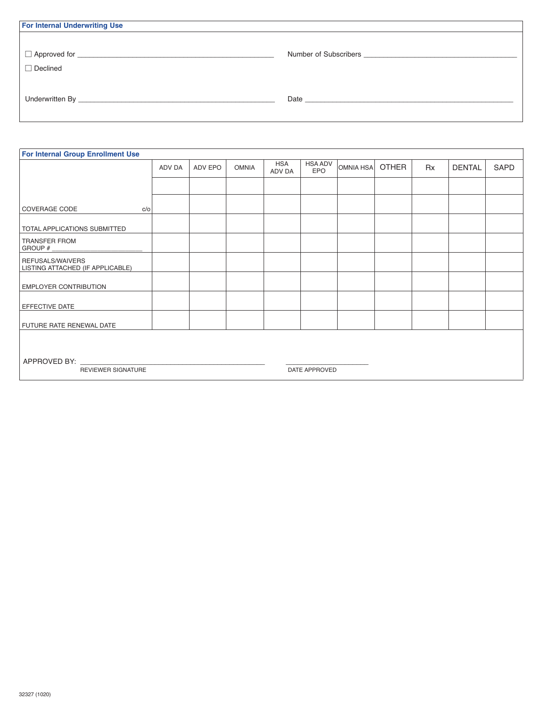| <b>For Internal Underwriting Use</b> |                                                                                                                                                                                                                                |
|--------------------------------------|--------------------------------------------------------------------------------------------------------------------------------------------------------------------------------------------------------------------------------|
|                                      |                                                                                                                                                                                                                                |
|                                      | Number of Subscribers <b>Example 2018</b>                                                                                                                                                                                      |
| $\Box$ Declined                      |                                                                                                                                                                                                                                |
|                                      |                                                                                                                                                                                                                                |
|                                      | Date and the state of the state of the state of the state of the state of the state of the state of the state of the state of the state of the state of the state of the state of the state of the state of the state of the s |
|                                      |                                                                                                                                                                                                                                |

| <b>For Internal Group Enrollment Use</b>                   |        |         |              |                      |                       |           |              |           |               |      |
|------------------------------------------------------------|--------|---------|--------------|----------------------|-----------------------|-----------|--------------|-----------|---------------|------|
|                                                            | ADV DA | ADV EPO | <b>OMNIA</b> | <b>HSA</b><br>ADV DA | <b>HSA ADV</b><br>EPO | OMNIA HSA | <b>OTHER</b> | <b>Rx</b> | <b>DENTAL</b> | SAPD |
|                                                            |        |         |              |                      |                       |           |              |           |               |      |
| <b>COVERAGE CODE</b><br>c/o                                |        |         |              |                      |                       |           |              |           |               |      |
| <b>TOTAL APPLICATIONS SUBMITTED</b>                        |        |         |              |                      |                       |           |              |           |               |      |
| TRANSFER FROM<br>GROUP #                                   |        |         |              |                      |                       |           |              |           |               |      |
| REFUSALS/WAIVERS<br>LISTING ATTACHED (IF APPLICABLE)       |        |         |              |                      |                       |           |              |           |               |      |
| <b>EMPLOYER CONTRIBUTION</b>                               |        |         |              |                      |                       |           |              |           |               |      |
| EFFECTIVE DATE                                             |        |         |              |                      |                       |           |              |           |               |      |
| FUTURE RATE RENEWAL DATE                                   |        |         |              |                      |                       |           |              |           |               |      |
|                                                            |        |         |              |                      |                       |           |              |           |               |      |
| APPROVED BY:<br><b>REVIEWER SIGNATURE</b><br>DATE APPROVED |        |         |              |                      |                       |           |              |           |               |      |
|                                                            |        |         |              |                      |                       |           |              |           |               |      |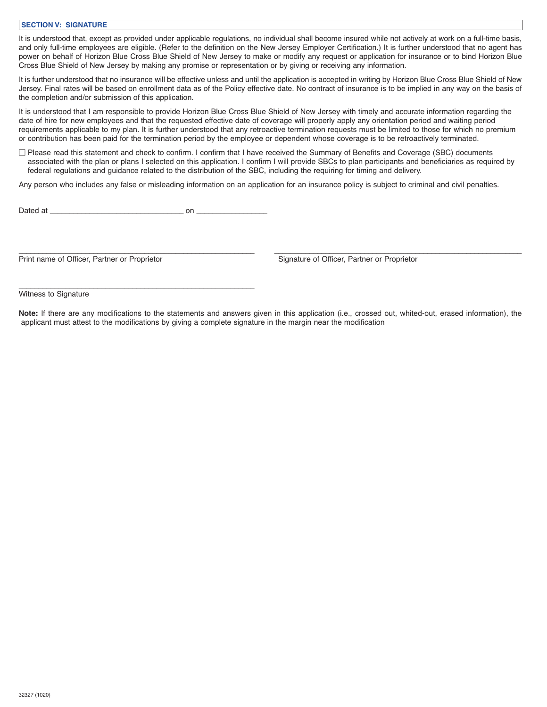### **SECTION V: SIGNATURE**

It is understood that, except as provided under applicable regulations, no individual shall become insured while not actively at work on a full-time basis, and only full-time employees are eligible. (Refer to the definition on the New Jersey Employer Certification.) It is further understood that no agent has power on behalf of Horizon Blue Cross Blue Shield of New Jersey to make or modify any request or application for insurance or to bind Horizon Blue Cross Blue Shield of New Jersey by making any promise or representation or by giving or receiving any information.

It is further understood that no insurance will be effective unless and until the application is accepted in writing by Horizon Blue Cross Blue Shield of New Jersey. Final rates will be based on enrollment data as of the Policy effective date. No contract of insurance is to be implied in any way on the basis of the completion and/or submission of this application.

It is understood that I am responsible to provide Horizon Blue Cross Blue Shield of New Jersey with timely and accurate information regarding the date of hire for new employees and that the requested effective date of coverage will properly apply any orientation period and waiting period requirements applicable to my plan. It is further understood that any retroactive termination requests must be limited to those for which no premium or contribution has been paid for the termination period by the employee or dependent whose coverage is to be retroactively terminated.

□ Please read this statement and check to confirm. I confirm that I have received the Summary of Benefits and Coverage (SBC) documents associated with the plan or plans I selected on this application. I confirm I will provide SBCs to plan participants and beneficiaries as required by federal regulations and guidance related to the distribution of the SBC, including the requiring for timing and delivery.

Any person who includes any false or misleading information on an application for an insurance policy is subject to criminal and civil penalties.

Dated at \_\_\_\_\_\_\_\_\_\_\_\_\_\_\_\_\_\_\_\_\_\_\_\_\_\_\_\_\_\_\_\_\_\_ on \_\_\_\_\_\_\_\_\_\_\_\_\_\_\_\_\_\_

\_\_\_\_\_\_\_\_\_\_\_\_\_\_\_\_\_\_\_\_\_\_\_\_\_\_\_\_\_\_\_\_\_\_\_\_\_\_\_\_\_\_\_\_\_\_\_\_\_\_\_\_\_\_\_\_\_\_\_\_

\_\_\_\_\_\_\_\_\_\_\_\_\_\_\_\_\_\_\_\_\_\_\_\_\_\_\_\_\_\_\_\_\_\_\_\_\_\_\_\_\_\_\_\_\_\_\_\_\_\_\_\_\_\_\_\_\_\_\_\_ \_\_\_\_\_\_\_\_\_\_\_\_\_\_\_\_\_\_\_\_\_\_\_\_\_\_\_\_\_\_\_\_\_\_\_\_\_\_\_\_\_\_\_\_\_\_\_\_\_\_\_\_\_\_\_\_\_\_\_\_\_\_\_ Print name of Officer, Partner or Proprietor Signature of Officer, Partner or Proprietor

Witness to Signature

**Note:** If there are any modifications to the statements and answers given in this application (i.e., crossed out, whited-out, erased information), the applicant must attest to the modifications by giving a complete signature in the margin near the modification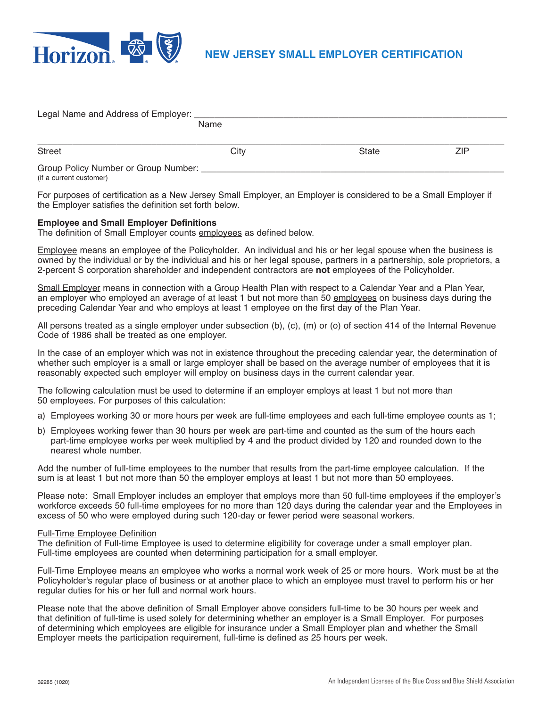

| Legal Name and Address of Employer:  |      |       |     |  |
|--------------------------------------|------|-------|-----|--|
|                                      | Name |       |     |  |
|                                      |      |       |     |  |
| Street                               | City | State | ZIP |  |
| Group Policy Number or Group Number: |      |       |     |  |

(if a current customer)

For purposes of certification as a New Jersey Small Employer, an Employer is considered to be a Small Employer if the Employer satisfies the definition set forth below.

### **Employee and Small Employer Definitions**

The definition of Small Employer counts employees as defined below.

Employee means an employee of the Policyholder. An individual and his or her legal spouse when the business is owned by the individual or by the individual and his or her legal spouse, partners in a partnership, sole proprietors, a 2-percent S corporation shareholder and independent contractors are **not** employees of the Policyholder.

Small Employer means in connection with a Group Health Plan with respect to a Calendar Year and a Plan Year, an employer who employed an average of at least 1 but not more than 50 employees on business days during the preceding Calendar Year and who employs at least 1 employee on the first day of the Plan Year.

All persons treated as a single employer under subsection (b), (c), (m) or (o) of section 414 of the Internal Revenue Code of 1986 shall be treated as one employer.

In the case of an employer which was not in existence throughout the preceding calendar year, the determination of whether such employer is a small or large employer shall be based on the average number of employees that it is reasonably expected such employer will employ on business days in the current calendar year.

The following calculation must be used to determine if an employer employs at least 1 but not more than 50 employees. For purposes of this calculation:

- a) Employees working 30 or more hours per week are full-time employees and each full-time employee counts as 1;
- b) Employees working fewer than 30 hours per week are part-time and counted as the sum of the hours each part-time employee works per week multiplied by 4 and the product divided by 120 and rounded down to the nearest whole number.

Add the number of full-time employees to the number that results from the part-time employee calculation. If the sum is at least 1 but not more than 50 the employer employs at least 1 but not more than 50 employees.

Please note: Small Employer includes an employer that employs more than 50 full-time employees if the employer's workforce exceeds 50 full-time employees for no more than 120 days during the calendar year and the Employees in excess of 50 who were employed during such 120-day or fewer period were seasonal workers.

### Full-Time Employee Definition

The definition of Full-time Employee is used to determine eligibility for coverage under a small employer plan. Full-time employees are counted when determining participation for a small employer.

Full-Time Employee means an employee who works a normal work week of 25 or more hours. Work must be at the Policyholder's regular place of business or at another place to which an employee must travel to perform his or her regular duties for his or her full and normal work hours.

Please note that the above definition of Small Employer above considers full-time to be 30 hours per week and that definition of full-time is used solely for determining whether an employer is a Small Employer. For purposes of determining which employees are eligible for insurance under a Small Employer plan and whether the Small Employer meets the participation requirement, full-time is defined as 25 hours per week.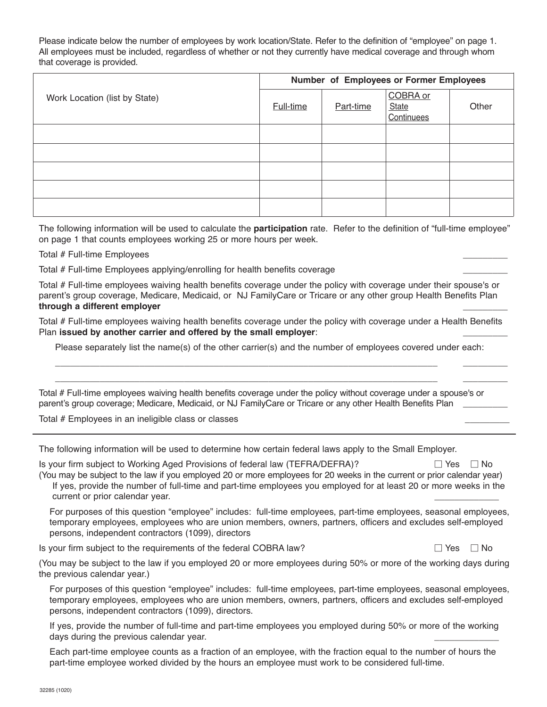Please indicate below the number of employees by work location/State. Refer to the definition of "employee" on page 1. All employees must be included, regardless of whether or not they currently have medical coverage and through whom that coverage is provided.

|                               | Number of Employees or Former Employees |           |                                        |       |  |
|-------------------------------|-----------------------------------------|-----------|----------------------------------------|-------|--|
| Work Location (list by State) | Full-time                               | Part-time | COBRA or<br><b>State</b><br>Continuees | Other |  |
|                               |                                         |           |                                        |       |  |
|                               |                                         |           |                                        |       |  |
|                               |                                         |           |                                        |       |  |
|                               |                                         |           |                                        |       |  |
|                               |                                         |           |                                        |       |  |

The following information will be used to calculate the **participation** rate. Refer to the definition of "full-time employee" on page 1 that counts employees working 25 or more hours per week.

## Total # Full-time Employees \_\_\_\_\_\_\_\_\_

Total # Full-time Employees applying/enrolling for health benefits coverage \_\_\_\_\_\_\_\_\_

Total # Full-time employees waiving health benefits coverage under the policy with coverage under their spouse's or parent's group coverage, Medicare, Medicaid, or NJ FamilyCare or Tricare or any other group Health Benefits Plan **through a different employer** \_\_\_\_\_\_\_\_\_

Total # Full-time employees waiving health benefits coverage under the policy with coverage under a Health Benefits Plan **issued by another carrier and offered by the small employer:** 

Please separately list the name(s) of the other carrier(s) and the number of employees covered under each:

\_\_\_\_\_\_\_\_\_\_\_\_\_\_\_\_\_\_\_\_\_\_\_\_\_\_\_\_\_\_\_\_\_\_\_\_\_\_\_\_\_\_\_\_\_\_\_\_\_\_\_\_\_\_\_\_\_\_\_\_\_\_\_\_\_\_\_\_\_\_\_\_\_\_\_\_\_ \_\_\_\_\_\_\_\_\_ \_\_\_\_\_\_\_\_\_\_\_\_\_\_\_\_\_\_\_\_\_\_\_\_\_\_\_\_\_\_\_\_\_\_\_\_\_\_\_\_\_\_\_\_\_\_\_\_\_\_\_\_\_\_\_\_\_\_\_\_\_\_\_\_\_\_\_\_\_\_\_\_\_\_\_\_\_ \_\_\_\_\_\_\_\_\_

Total # Full-time employees waiving health benefits coverage under the policy without coverage under a spouse's or parent's group coverage; Medicare, Medicaid, or NJ FamilyCare or Tricare or any other Health Benefits Plan

Total # Employees in an ineligible class or classes \_\_\_\_\_\_\_\_\_

The following information will be used to determine how certain federal laws apply to the Small Employer.

Is your firm subject to Working Aged Provisions of federal law (TEFRA/DEFRA)?  $\Box$  Yes  $\Box$  No (You may be subject to the law if you employed 20 or more employees for 20 weeks in the current or prior calendar year)

If yes, provide the number of full-time and part-time employees you employed for at least 20 or more weeks in the current or prior calendar year.

For purposes of this question "employee" includes: full-time employees, part-time employees, seasonal employees, temporary employees, employees who are union members, owners, partners, officers and excludes self-employed persons, independent contractors (1099), directors

Is your firm subject to the requirements of the federal COBRA law?  $\Box$  Yes  $\Box$  No

(You may be subject to the law if you employed 20 or more employees during 50% or more of the working days during the previous calendar year.)

For purposes of this question "employee" includes: full-time employees, part-time employees, seasonal employees, temporary employees, employees who are union members, owners, partners, officers and excludes self-employed persons, independent contractors (1099), directors.

If yes, provide the number of full-time and part-time employees you employed during 50% or more of the working days during the previous calendar year.

Each part-time employee counts as a fraction of an employee, with the fraction equal to the number of hours the part-time employee worked divided by the hours an employee must work to be considered full-time.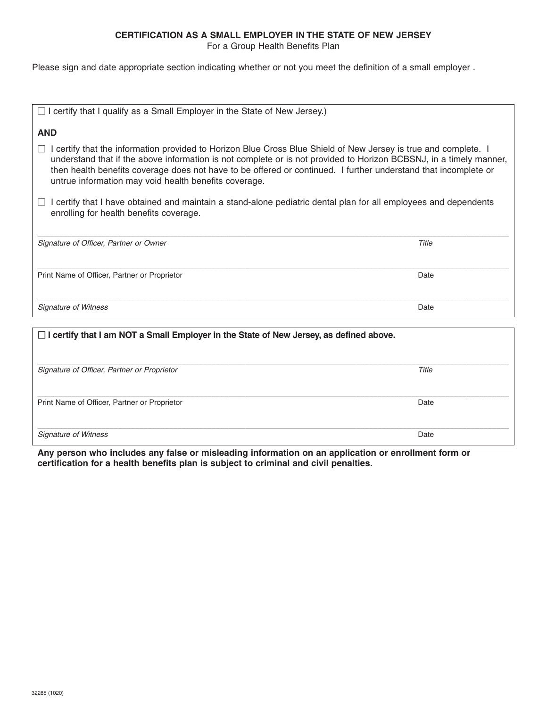# **CERTIFICATION AS A SMALL EMPLOYER IN THE STATE OF NEW JERSEY**

For a Group Health Benefits Plan

Please sign and date appropriate section indicating whether or not you meet the definition of a small employer .

| $\Box$ I certify that I qualify as a Small Employer in the State of New Jersey.)                                                                                                                                                                                                                                                                                                                                            |       |  |  |  |  |
|-----------------------------------------------------------------------------------------------------------------------------------------------------------------------------------------------------------------------------------------------------------------------------------------------------------------------------------------------------------------------------------------------------------------------------|-------|--|--|--|--|
| <b>AND</b>                                                                                                                                                                                                                                                                                                                                                                                                                  |       |  |  |  |  |
| I certify that the information provided to Horizon Blue Cross Blue Shield of New Jersey is true and complete. I<br>$\Box$<br>understand that if the above information is not complete or is not provided to Horizon BCBSNJ, in a timely manner,<br>then health benefits coverage does not have to be offered or continued. I further understand that incomplete or<br>untrue information may void health benefits coverage. |       |  |  |  |  |
| I certify that I have obtained and maintain a stand-alone pediatric dental plan for all employees and dependents<br>enrolling for health benefits coverage.                                                                                                                                                                                                                                                                 |       |  |  |  |  |
| Signature of Officer, Partner or Owner                                                                                                                                                                                                                                                                                                                                                                                      | Title |  |  |  |  |
| Print Name of Officer, Partner or Proprietor                                                                                                                                                                                                                                                                                                                                                                                | Date  |  |  |  |  |
| <b>Signature of Witness</b>                                                                                                                                                                                                                                                                                                                                                                                                 | Date  |  |  |  |  |
| $\Box$ I certify that I am NOT a Small Employer in the State of New Jersey, as defined above.                                                                                                                                                                                                                                                                                                                               |       |  |  |  |  |

| Signature of Officer, Partner or Proprietor  | Title |
|----------------------------------------------|-------|
|                                              |       |
| Print Name of Officer, Partner or Proprietor | Date  |
|                                              |       |
| <b>Signature of Witness</b>                  | Date  |

**Any person who includes any false or misleading information on an application or enrollment form or certification for a health benefits plan is subject to criminal and civil penalties.**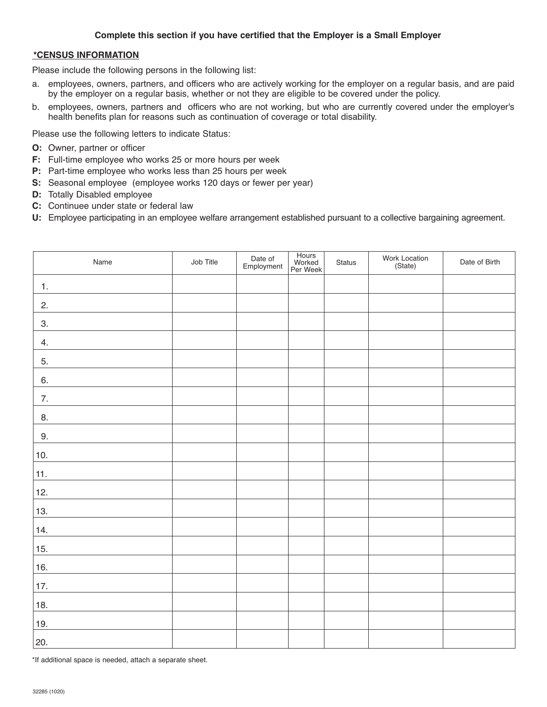# **\*CENSUS INFORMATION**

Please include the following persons in the following list:

- a. employees, owners, partners, and officers who are actively working for the employer on a regular basis, and are paid by the employer on a regular basis, whether or not they are eligible to be covered under the policy.
- b. employees, owners, partners and officers who are not working, but who are currently covered under the employer's health benefits plan for reasons such as continuation of coverage or total disability.

Please use the following letters to indicate Status:

- **O:** Owner, partner or officer
- **F:** Full-time employee who works 25 or more hours per week
- **P:** Part-time employee who works less than 25 hours per week
- **S:** Seasonal employee (employee works 120 days or fewer per year)
- **D:** Totally Disabled employee
- **C:** Continuee under state or federal law
- **U:** Employee participating in an employee welfare arrangement established pursuant to a collective bargaining agreement.

| Name           | Job Title | Date of<br>Employment | Hours<br>Worked<br>Per Week | Status | Work Location<br>(State) | Date of Birth |
|----------------|-----------|-----------------------|-----------------------------|--------|--------------------------|---------------|
| $\mathbf{1}$ . |           |                       |                             |        |                          |               |
| 2.             |           |                       |                             |        |                          |               |
| 3.             |           |                       |                             |        |                          |               |
| 4.             |           |                       |                             |        |                          |               |
| 5.             |           |                       |                             |        |                          |               |
| 6.             |           |                       |                             |        |                          |               |
| 7.             |           |                       |                             |        |                          |               |
| 8.             |           |                       |                             |        |                          |               |
| 9.             |           |                       |                             |        |                          |               |
| $10.$          |           |                       |                             |        |                          |               |
| 11.            |           |                       |                             |        |                          |               |
| 12.            |           |                       |                             |        |                          |               |
| 13.            |           |                       |                             |        |                          |               |
| 14.            |           |                       |                             |        |                          |               |
| 15.            |           |                       |                             |        |                          |               |
| 16.            |           |                       |                             |        |                          |               |
| 17.            |           |                       |                             |        |                          |               |
| 18.            |           |                       |                             |        |                          |               |
| 19.            |           |                       |                             |        |                          |               |
| 20.            |           |                       |                             |        |                          |               |

\*If additional space is needed, attach a separate sheet.